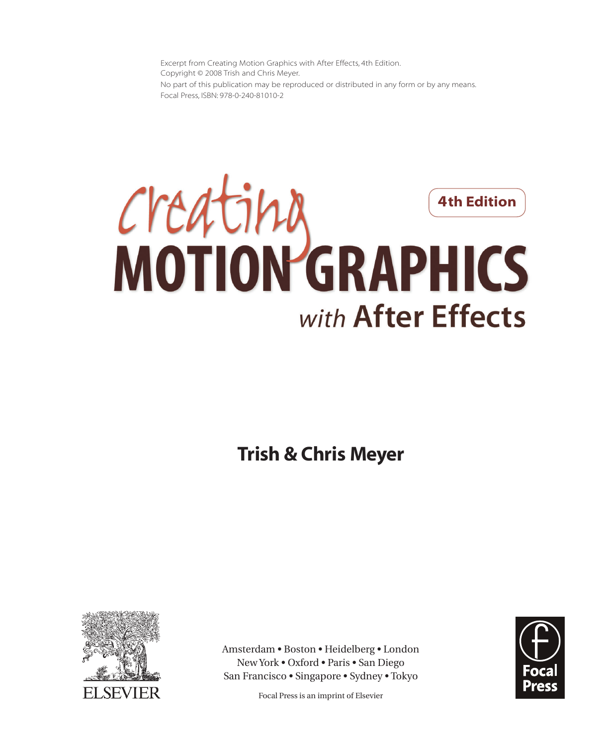Excerpt from Creating Motion Graphics with After Effects, 4th Edition. Copyright © 2008 Trish and Chris Meyer. No part of this publication may be reproduced or distributed in any form or by any means. Focal Press, ISBN: 978-0-240-81010-2



**Trish & Chris Meyer**



Amsterdam • Boston • Heidelberg • London New York • Oxford • Paris • San Diego San Francisco • Singapore • Sydney • Tokyo

Focal Press is an imprint of Elsevier

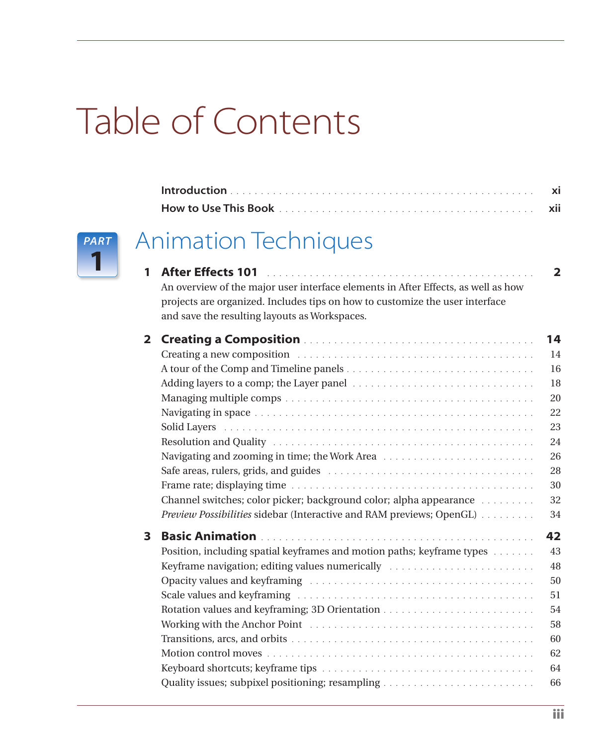# Table of Contents



### Animation Techniques

| 1            | <b>After Effects 101</b><br>An overview of the major user interface elements in After Effects, as well as how<br>projects are organized. Includes tips on how to customize the user interface<br>and save the resulting layouts as Workspaces.                                                                                                                               | $\mathbf{2}$                                                               |
|--------------|------------------------------------------------------------------------------------------------------------------------------------------------------------------------------------------------------------------------------------------------------------------------------------------------------------------------------------------------------------------------------|----------------------------------------------------------------------------|
| $\mathbf{2}$ | Creating a new composition entertainment of the contract of the contract of the contract of the contract of the contract of the contract of the contract of the contract of the contract of the contract of the contract of th<br>Channel switches; color picker; background color; alpha appearance<br>Preview Possibilities sidebar (Interactive and RAM previews; OpenGL) | 14<br>14<br>16<br>18<br>20<br>22<br>23<br>24<br>26<br>28<br>30<br>32<br>34 |
| 3            | Position, including spatial keyframes and motion paths; keyframe types<br>Keyframe navigation; editing values numerically                                                                                                                                                                                                                                                    | 42<br>43<br>48<br>50<br>51<br>54<br>58<br>60<br>62<br>64                   |

Quality issues; subpixel positioning; resampling . . . . . . . . . . . . . . . . . . . . . . . . . 66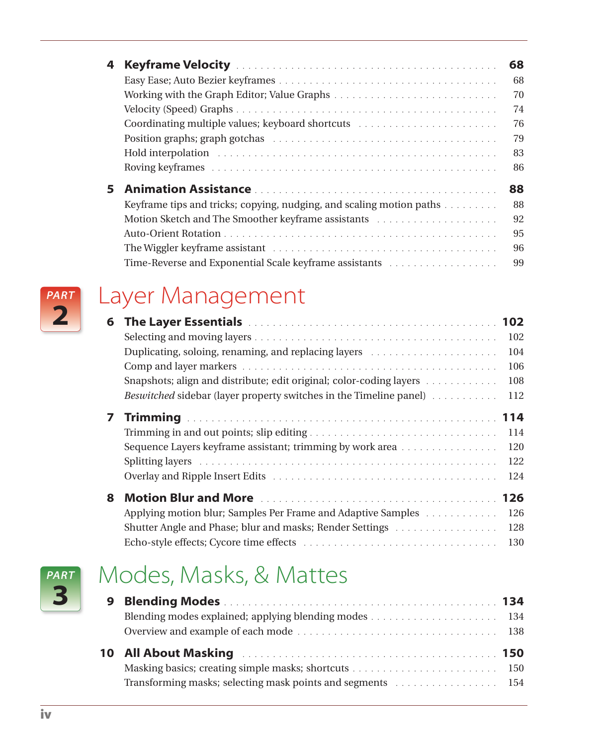| 4  |                                                                                                                                                                                                                                | 68 |
|----|--------------------------------------------------------------------------------------------------------------------------------------------------------------------------------------------------------------------------------|----|
|    |                                                                                                                                                                                                                                | 68 |
|    |                                                                                                                                                                                                                                | 70 |
|    |                                                                                                                                                                                                                                | 74 |
|    | Coordinating multiple values; keyboard shortcuts entertainment in the coordinating multiple values; keyboard shortcuts entertainment in the coordination of the coordination of the coordination of the coordination of the co | 76 |
|    |                                                                                                                                                                                                                                | 79 |
|    | Hold interpolation in the contract of the contract of the contract of the contract of the contract of the contract of the contract of the contract of the contract of the contract of the contract of the contract of the cont | 83 |
|    |                                                                                                                                                                                                                                | 86 |
| 5. |                                                                                                                                                                                                                                | 88 |
|    | Keyframe tips and tricks; copying, nudging, and scaling motion paths                                                                                                                                                           | 88 |
|    |                                                                                                                                                                                                                                | 92 |
|    |                                                                                                                                                                                                                                | 95 |
|    | The Wiggler keyframe assistant enterpresent in the contract of the Wiggler keyframe assistant enterpresent in the Wiggler                                                                                                      | 96 |
|    | Time-Reverse and Exponential Scale keyframe assistants                                                                                                                                                                         | 99 |



#### Layer Management

| 6. | The Layer Essentials and account and account of the Layer Essentials and account of the Layer Essential | 102 |
|----|---------------------------------------------------------------------------------------------------------|-----|
|    |                                                                                                         | 102 |
|    |                                                                                                         | 104 |
|    |                                                                                                         | 106 |
|    | Snapshots; align and distribute; edit original; color-coding layers                                     | 108 |
|    | Beswitched sidebar (layer property switches in the Timeline panel)                                      | 112 |
| 7  |                                                                                                         | 114 |
|    |                                                                                                         | 114 |
|    | Sequence Layers keyframe assistant; trimming by work area                                               | 120 |
|    |                                                                                                         | 122 |
|    |                                                                                                         | 124 |
| 8. |                                                                                                         | 126 |
|    | Applying motion blur; Samples Per Frame and Adaptive Samples                                            | 126 |
|    | Shutter Angle and Phase; blur and masks; Render Settings                                                | 128 |
|    |                                                                                                         | 130 |



## Modes, Masks, & Mattes

| Transforming masks; selecting mask points and segments material in the selection of the selection of the selection of the selection of the selection of the selection of the selection of the selection of the selection of th |  |
|--------------------------------------------------------------------------------------------------------------------------------------------------------------------------------------------------------------------------------|--|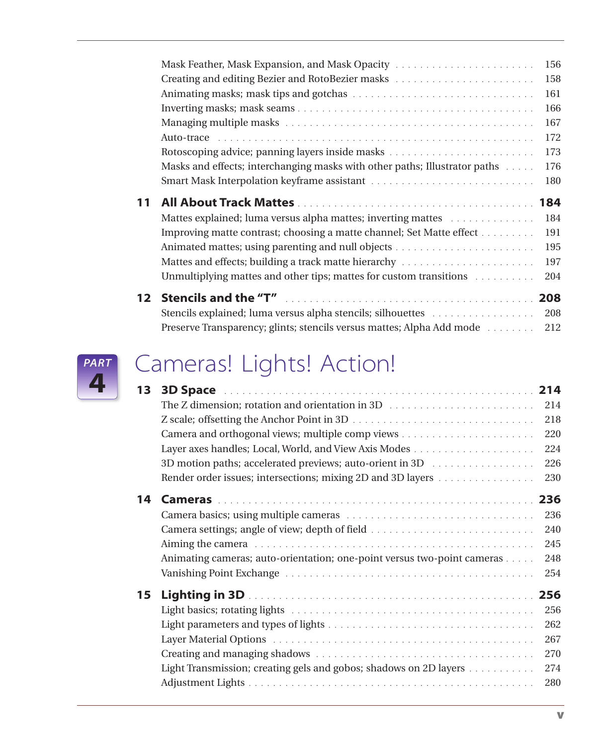|    | Mask Feather, Mask Expansion, and Mask Opacity                                                               | 156 |
|----|--------------------------------------------------------------------------------------------------------------|-----|
|    |                                                                                                              | 158 |
|    |                                                                                                              | 161 |
|    |                                                                                                              | 166 |
|    |                                                                                                              | 167 |
|    |                                                                                                              | 172 |
|    |                                                                                                              | 173 |
|    | Masks and effects; interchanging masks with other paths; Illustrator paths                                   | 176 |
|    |                                                                                                              | 180 |
|    |                                                                                                              |     |
| 11 |                                                                                                              | 184 |
|    | Mattes explained; luma versus alpha mattes; inverting mattes with an explained in the Mattes explained; luma | 184 |
|    | Improving matte contrast; choosing a matte channel; Set Matte effect                                         | 191 |
|    |                                                                                                              | 195 |
|    |                                                                                                              | 197 |
|    | Unmultiplying mattes and other tips; mattes for custom transitions                                           | 204 |
|    |                                                                                                              | 208 |
|    | Stencils explained; luma versus alpha stencils; silhouettes                                                  | 208 |



## Cameras! Lights! Action!

| 13 |                                                                         | 214 |
|----|-------------------------------------------------------------------------|-----|
|    |                                                                         | 214 |
|    |                                                                         | 218 |
|    |                                                                         | 220 |
|    |                                                                         | 224 |
|    | 3D motion paths; accelerated previews; auto-orient in 3D                | 226 |
|    | Render order issues; intersections; mixing 2D and 3D layers             | 230 |
| 14 |                                                                         | 236 |
|    |                                                                         | 236 |
|    |                                                                         | 240 |
|    |                                                                         | 245 |
|    | Animating cameras; auto-orientation; one-point versus two-point cameras | 248 |
|    |                                                                         | 254 |
| 15 |                                                                         | 256 |
|    |                                                                         | 256 |
|    |                                                                         | 262 |
|    |                                                                         | 267 |
|    |                                                                         | 270 |
|    | Light Transmission; creating gels and gobos; shadows on 2D layers       | 274 |
|    |                                                                         | 280 |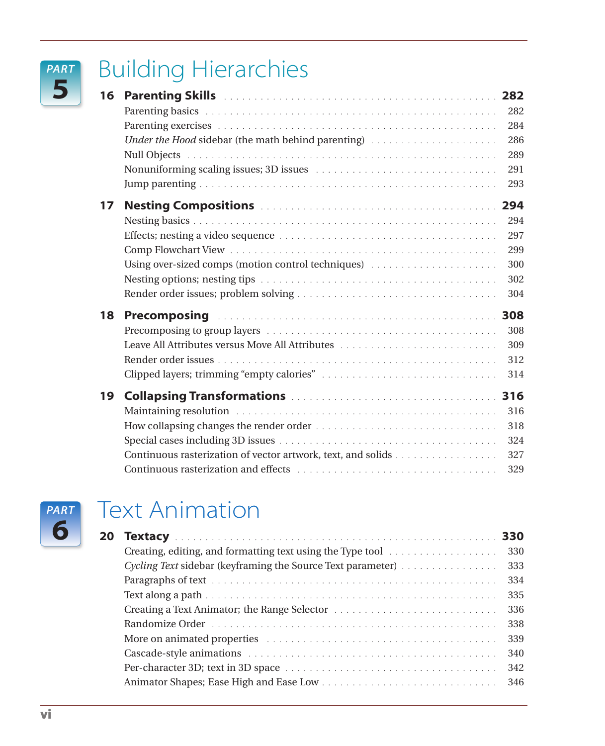#### *PART* **5**

## Building Hierarchies

| 16 |                                                                                                                                                                                                                                |     |
|----|--------------------------------------------------------------------------------------------------------------------------------------------------------------------------------------------------------------------------------|-----|
|    |                                                                                                                                                                                                                                | 282 |
|    |                                                                                                                                                                                                                                | 284 |
|    | Under the Hood sidebar (the math behind parenting)                                                                                                                                                                             | 286 |
|    |                                                                                                                                                                                                                                | 289 |
|    | Nonuniforming scaling issues; 3D issues entertainment in the set of the scaling scaling issues to the set of the set of the set of the set of the set of the set of the set of the set of the set of the set of the set of the | 291 |
|    |                                                                                                                                                                                                                                | 293 |
| 17 |                                                                                                                                                                                                                                | 294 |
|    |                                                                                                                                                                                                                                | 294 |
|    |                                                                                                                                                                                                                                | 297 |
|    |                                                                                                                                                                                                                                | 299 |
|    | Using over-sized comps (motion control techniques)                                                                                                                                                                             | 300 |
|    |                                                                                                                                                                                                                                | 302 |
|    |                                                                                                                                                                                                                                | 304 |
| 18 | Precomposing (Aller and Aller and Aller and Aller and Aller and Aller and Aller and Aller and Aller                                                                                                                            | 308 |
|    |                                                                                                                                                                                                                                | 308 |
|    | Leave All Attributes versus Move All Attributes                                                                                                                                                                                | 309 |
|    |                                                                                                                                                                                                                                | 312 |
|    |                                                                                                                                                                                                                                | 314 |
| 19 |                                                                                                                                                                                                                                |     |
|    |                                                                                                                                                                                                                                | 316 |
|    |                                                                                                                                                                                                                                | 318 |
|    |                                                                                                                                                                                                                                | 324 |
|    | Continuous rasterization of vector artwork, text, and solids                                                                                                                                                                   | 327 |
|    |                                                                                                                                                                                                                                | 329 |



#### Text Animation

| 20 |                                                                                                                                                                                                                                |     |
|----|--------------------------------------------------------------------------------------------------------------------------------------------------------------------------------------------------------------------------------|-----|
|    |                                                                                                                                                                                                                                | 330 |
|    | Cycling Text sidebar (keyframing the Source Text parameter)                                                                                                                                                                    | 333 |
|    |                                                                                                                                                                                                                                | 334 |
|    |                                                                                                                                                                                                                                | 335 |
|    |                                                                                                                                                                                                                                | 336 |
|    |                                                                                                                                                                                                                                | 338 |
|    | More on animated properties entertainment contains and manufacture of the set of the set of the set of the set of the set of the set of the set of the set of the set of the set of the set of the set of the set of the set o | 339 |
|    |                                                                                                                                                                                                                                | 340 |
|    |                                                                                                                                                                                                                                | 342 |
|    |                                                                                                                                                                                                                                | 346 |
|    |                                                                                                                                                                                                                                |     |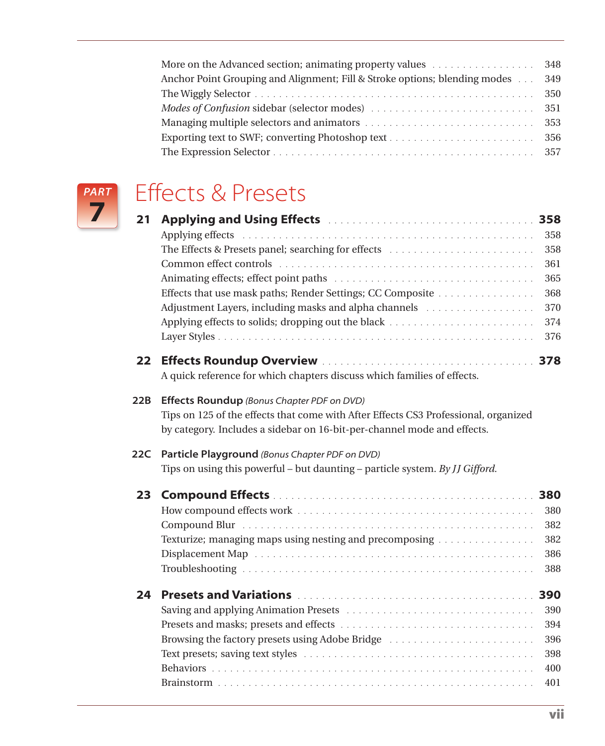| Anchor Point Grouping and Alignment; Fill & Stroke options; blending modes | 349 |
|----------------------------------------------------------------------------|-----|
|                                                                            |     |
|                                                                            |     |
|                                                                            |     |
|                                                                            |     |
|                                                                            |     |



## Effects & Presets

| 21                | Applying and Using Effects <b>Manual Assembly 2018</b>                              |     |
|-------------------|-------------------------------------------------------------------------------------|-----|
|                   |                                                                                     | 358 |
|                   |                                                                                     | 358 |
|                   |                                                                                     | 361 |
|                   |                                                                                     | 365 |
|                   | Effects that use mask paths; Render Settings; CC Composite                          | 368 |
|                   | Adjustment Layers, including masks and alpha channels                               | 370 |
|                   |                                                                                     | 374 |
|                   |                                                                                     | 376 |
| $22 \overline{)}$ |                                                                                     |     |
|                   | A quick reference for which chapters discuss which families of effects.             |     |
| 22B               | Effects Roundup (Bonus Chapter PDF on DVD)                                          |     |
|                   | Tips on 125 of the effects that come with After Effects CS3 Professional, organized |     |
|                   | by category. Includes a sidebar on 16-bit-per-channel mode and effects.             |     |
| 22C               | Particle Playground (Bonus Chapter PDF on DVD)                                      |     |
|                   | Tips on using this powerful - but daunting - particle system. By JJ Gifford.        |     |
| 23                |                                                                                     |     |
|                   |                                                                                     | 380 |
|                   |                                                                                     | 382 |
|                   | Texturize; managing maps using nesting and precomposing                             | 382 |
|                   |                                                                                     | 386 |
|                   |                                                                                     | 388 |
| 24                |                                                                                     | 390 |
|                   |                                                                                     | 390 |
|                   |                                                                                     | 394 |
|                   | Browsing the factory presets using Adobe Bridge                                     | 396 |
|                   |                                                                                     | 398 |
|                   |                                                                                     | 400 |
|                   |                                                                                     | 401 |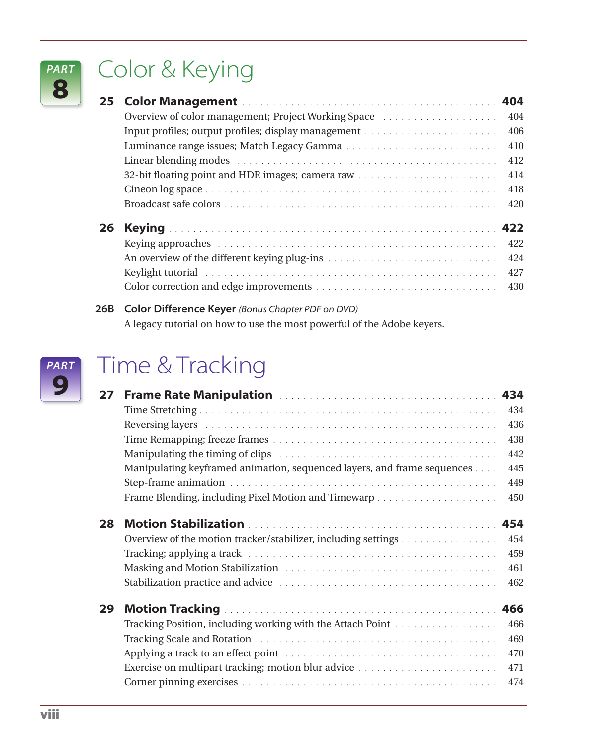## Color & Keying

| 25 - |                                                                                                                                                                                                                                |     |
|------|--------------------------------------------------------------------------------------------------------------------------------------------------------------------------------------------------------------------------------|-----|
|      | Overview of color management; Project Working Space                                                                                                                                                                            | 404 |
|      |                                                                                                                                                                                                                                | 406 |
|      |                                                                                                                                                                                                                                | 410 |
|      |                                                                                                                                                                                                                                | 412 |
|      |                                                                                                                                                                                                                                | 414 |
|      |                                                                                                                                                                                                                                | 418 |
|      |                                                                                                                                                                                                                                | 420 |
| 26   |                                                                                                                                                                                                                                |     |
|      |                                                                                                                                                                                                                                | 422 |
|      |                                                                                                                                                                                                                                | 424 |
|      | Keylight tutorial experience in the contract of the contract of the contract of the contract of the contract of the contract of the contract of the contract of the contract of the contract of the contract of the contract o | 427 |
|      |                                                                                                                                                                                                                                | 430 |

**26B Color Difference Keyer** *(Bonus Chapter PDF on DVD)* A legacy tutorial on how to use the most powerful of the Adobe keyers.



*PART* **8**

## Time & Tracking

| 27 | <b>Frame Rate Manipulation Manual Community And Alama Prame Rate Manipulation Manual Community AS4</b> |     |
|----|--------------------------------------------------------------------------------------------------------|-----|
|    |                                                                                                        | 434 |
|    |                                                                                                        | 436 |
|    |                                                                                                        | 438 |
|    |                                                                                                        | 442 |
|    | Manipulating keyframed animation, sequenced layers, and frame sequences                                | 445 |
|    |                                                                                                        | 449 |
|    |                                                                                                        | 450 |
| 28 |                                                                                                        | 454 |
|    | Overview of the motion tracker/stabilizer, including settings                                          | 454 |
|    |                                                                                                        | 459 |
|    |                                                                                                        | 461 |
|    |                                                                                                        | 462 |
| 29 |                                                                                                        | 466 |
|    | Tracking Position, including working with the Attach Point                                             | 466 |
|    |                                                                                                        |     |
|    |                                                                                                        | 469 |
|    |                                                                                                        | 470 |
|    |                                                                                                        | 471 |
|    |                                                                                                        | 474 |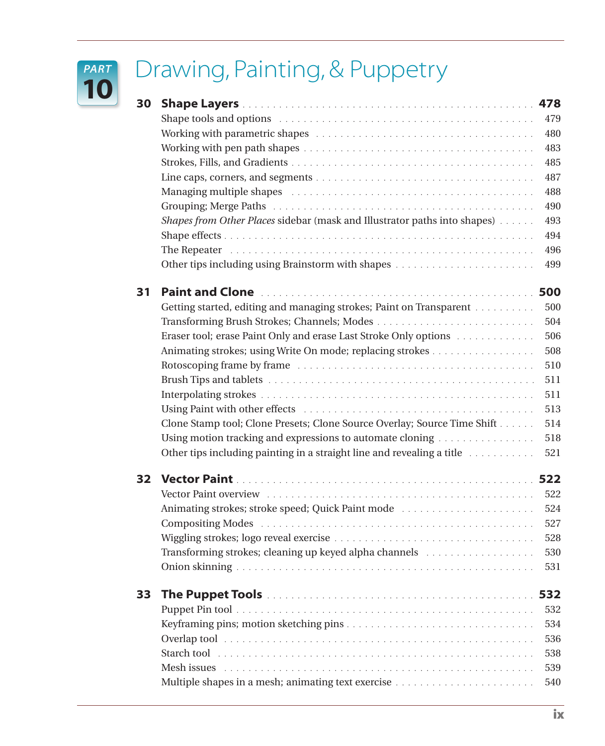## Drawing, Painting, & Puppetry

*PART* **10**

| 30 |                                                                                                                                                                                                                                | 478 |
|----|--------------------------------------------------------------------------------------------------------------------------------------------------------------------------------------------------------------------------------|-----|
|    |                                                                                                                                                                                                                                | 479 |
|    |                                                                                                                                                                                                                                | 480 |
|    |                                                                                                                                                                                                                                | 483 |
|    |                                                                                                                                                                                                                                | 485 |
|    |                                                                                                                                                                                                                                | 487 |
|    | Managing multiple shapes (and all contained and all contained and all contained and all contained and all contains a set of the Managing multiple shapes are all contained and all contained and all contained and managing mu | 488 |
|    |                                                                                                                                                                                                                                | 490 |
|    | Shapes from Other Places sidebar (mask and Illustrator paths into shapes)                                                                                                                                                      | 493 |
|    |                                                                                                                                                                                                                                | 494 |
|    |                                                                                                                                                                                                                                | 496 |
|    |                                                                                                                                                                                                                                | 499 |
| 31 |                                                                                                                                                                                                                                |     |
|    | Getting started, editing and managing strokes; Paint on Transparent                                                                                                                                                            | 500 |
|    |                                                                                                                                                                                                                                | 504 |
|    | Eraser tool; erase Paint Only and erase Last Stroke Only options                                                                                                                                                               | 506 |
|    | Animating strokes; using Write On mode; replacing strokes                                                                                                                                                                      | 508 |
|    |                                                                                                                                                                                                                                | 510 |
|    |                                                                                                                                                                                                                                | 511 |
|    |                                                                                                                                                                                                                                | 511 |
|    |                                                                                                                                                                                                                                | 513 |
|    | Clone Stamp tool; Clone Presets; Clone Source Overlay; Source Time Shift                                                                                                                                                       | 514 |
|    | Using motion tracking and expressions to automate cloning                                                                                                                                                                      | 518 |
|    | Other tips including painting in a straight line and revealing a title                                                                                                                                                         | 521 |
| 32 |                                                                                                                                                                                                                                |     |
|    |                                                                                                                                                                                                                                | 522 |
|    | Animating strokes; stroke speed; Quick Paint mode                                                                                                                                                                              | 524 |
|    |                                                                                                                                                                                                                                | 527 |
|    |                                                                                                                                                                                                                                | 528 |
|    | Transforming strokes; cleaning up keyed alpha channels                                                                                                                                                                         | 530 |
|    |                                                                                                                                                                                                                                | 531 |
| 33 | <b>The Puppet Tools</b>                                                                                                                                                                                                        | 532 |
|    |                                                                                                                                                                                                                                | 532 |
|    |                                                                                                                                                                                                                                | 534 |
|    | Overlap tool in the contract of the contract of the contract of the contract of the contract of the contract of                                                                                                                | 536 |
|    | Starch tool in the contract of the contract of the contract of the contract of the contract of the contract of                                                                                                                 | 538 |
|    |                                                                                                                                                                                                                                | 539 |
|    |                                                                                                                                                                                                                                | 540 |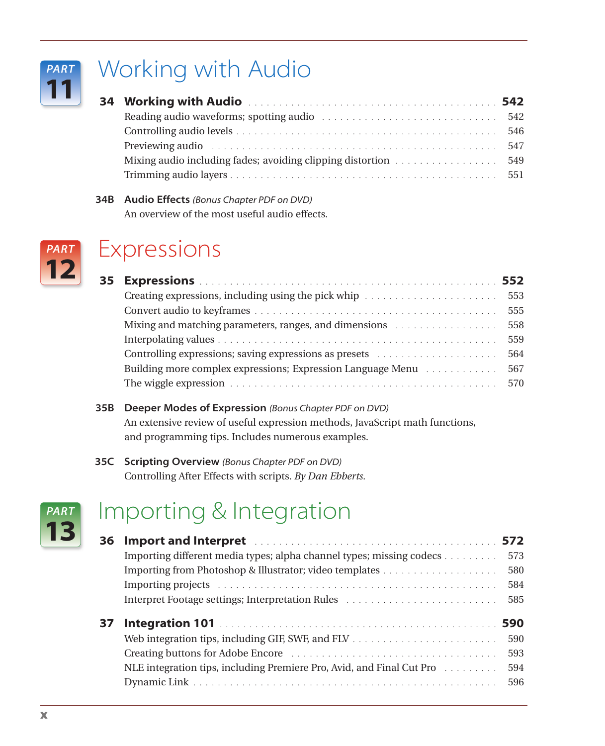

## Working with Audio

|                                                                                                                                                                                                                                | 546 |
|--------------------------------------------------------------------------------------------------------------------------------------------------------------------------------------------------------------------------------|-----|
| Previewing audio entertainment and the contract of the contract of the contract of the contract of the contract of the contract of the contract of the contract of the contract of the contract of the contract of the contrac | 547 |
|                                                                                                                                                                                                                                |     |
|                                                                                                                                                                                                                                |     |

**34B Audio Effects** *(Bonus Chapter PDF on DVD)* An overview of the most useful audio effects.



#### Expressions

|                                                                                       | 553 |
|---------------------------------------------------------------------------------------|-----|
|                                                                                       | 555 |
| Mixing and matching parameters, ranges, and dimensions excessional contact to the 558 |     |
|                                                                                       | 559 |
|                                                                                       | 564 |
| Building more complex expressions; Expression Language Menu                           | 567 |
|                                                                                       |     |
|                                                                                       |     |

#### **35B Deeper Modes of Expression** *(Bonus Chapter PDF on DVD)* An extensive review of useful expression methods, JavaScript math functions, and programming tips. Includes numerous examples.

#### **35C Scripting Overview** *(Bonus Chapter PDF on DVD)* Controlling After Effects with scripts. *By Dan Ebberts.*



## Importing & Integration

| 36. | Import and Interpret Material Account of the University of the Internal State Internal ST2 |                                 |
|-----|--------------------------------------------------------------------------------------------|---------------------------------|
|     | Importing different media types; alpha channel types; missing codecs                       | 573                             |
|     |                                                                                            | 580                             |
|     |                                                                                            | 584                             |
|     |                                                                                            | 585                             |
| 37. | NLE integration tips, including Premiere Pro, Avid, and Final Cut Pro                      | 590<br>590<br>593<br>594<br>596 |